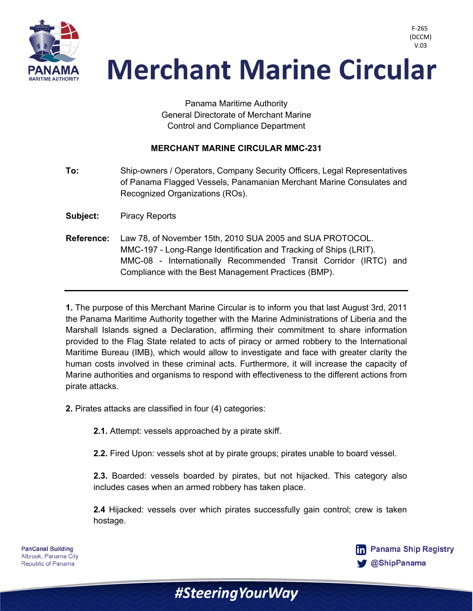

 V.03**Merchant Marine Circular** 

> Panama Maritime Authority General Directorate of Merchant Marine Control and Compliance Department

## **MERCHANT MARINE CIRCULAR MMC-231**

**To:** Ship-owners / Operators, Company Security Officers, Legal Representatives of Panama Flagged Vessels, Panamanian Merchant Marine Consulates and Recognized Organizations (ROs).

**Subject:** Piracy Reports

**Reference:** Law 78, of November 15th, 2010 SUA 2005 and SUA PROTOCOL. MMC-197 - Long-Range Identification and Tracking of Ships (LRIT). MMC-08 - Internationally Recommended Transit Corridor (IRTC) and Compliance with the Best Management Practices (BMP).

**1.** The purpose of this Merchant Marine Circular is to inform you that last August 3rd, 2011 the Panama Maritime Authority together with the Marine Administrations of Liberia and the Marshall Islands signed a Declaration, affirming their commitment to share information provided to the Flag State related to acts of piracy or armed robbery to the International Maritime Bureau (IMB), which would allow to investigate and face with greater clarity the human costs involved in these criminal acts. Furthermore, it will increase the capacity of Marine authorities and organisms to respond with effectiveness to the different actions from pirate attacks.

**2.** Pirates attacks are classified in four (4) categories:

**2.1.** Attempt: vessels approached by a pirate skiff.

**2.2.** Fired Upon: vessels shot at by pirate groups; pirates unable to board vessel.

**2.3.** Boarded: vessels boarded by pirates, but not hijacked. This category also includes cases when an armed robbery has taken place.

**2.4** Hijacked: vessels over which pirates successfully gain control; crew is taken hostage.

#Steering Your Way

**PanCanal Building** Albrook, Panama City Republic of Panama



F-265 (DCCM)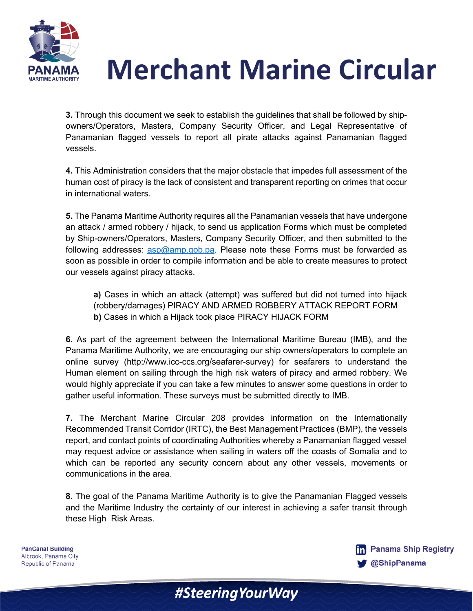

## **Merchant Marine Circular**

**3.** Through this document we seek to establish the guidelines that shall be followed by shipowners/Operators, Masters, Company Security Officer, and Legal Representative of Panamanian flagged vessels to report all pirate attacks against Panamanian flagged vessels.

**4.** This Administration considers that the major obstacle that impedes full assessment of the human cost of piracy is the lack of consistent and transparent reporting on crimes that occur in international waters.

**5.** The Panama Maritime Authority requires all the Panamanian vessels that have undergone an attack / armed robbery / hijack, to send us application Forms which must be completed by Ship-owners/Operators, Masters, Company Security Officer, and then submitted to the following addresses: asp@amp.gob.pa. Please note these Forms must be forwarded as soon as possible in order to compile information and be able to create measures to protect our vessels against piracy attacks.

**a)** Cases in which an attack (attempt) was suffered but did not turned into hijack (robbery/damages) PIRACY AND ARMED ROBBERY ATTACK REPORT FORM **b)** Cases in which a Hijack took place PIRACY HIJACK FORM

**6.** As part of the agreement between the International Maritime Bureau (IMB), and the Panama Maritime Authority, we are encouraging our ship owners/operators to complete an online survey (http://www.icc-ccs.org/seafarer-survey) for seafarers to understand the Human element on sailing through the high risk waters of piracy and armed robbery. We would highly appreciate if you can take a few minutes to answer some questions in order to gather useful information. These surveys must be submitted directly to IMB.

**7.** The Merchant Marine Circular 208 provides information on the Internationally Recommended Transit Corridor (IRTC), the Best Management Practices (BMP), the vessels report, and contact points of coordinating Authorities whereby a Panamanian flagged vessel may request advice or assistance when sailing in waters off the coasts of Somalia and to which can be reported any security concern about any other vessels, movements or communications in the area.

**8.** The goal of the Panama Maritime Authority is to give the Panamanian Flagged vessels and the Maritime Industry the certainty of our interest in achieving a safer transit through these High Risk Areas.

#Steering Your Way

**PanCanal Building** Albrook, Panama City Republic of Panama